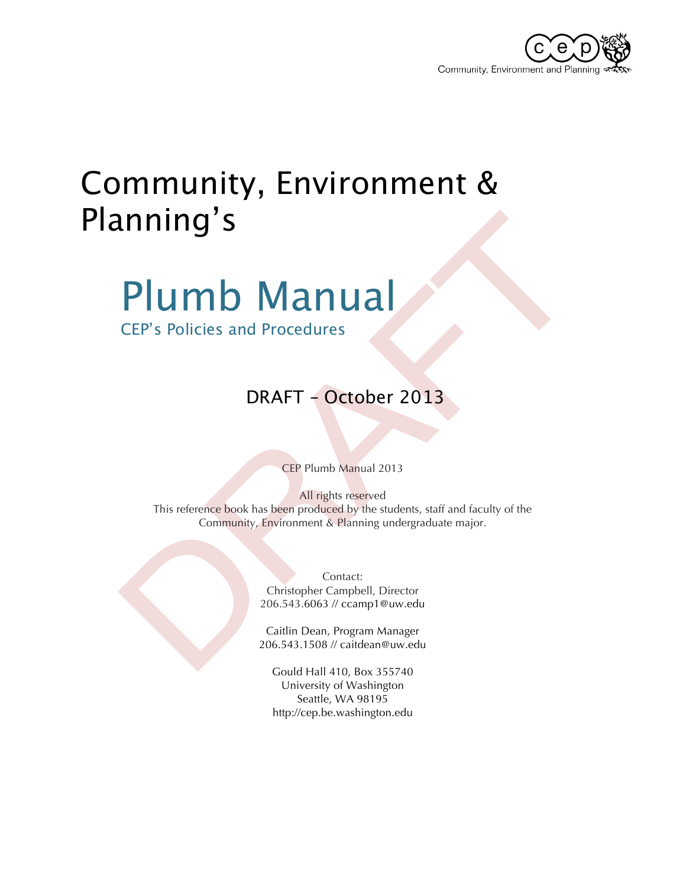

# Community, Environment & Planning's

# Plumb Manual

CEP's Policies and Procedures

### DRAFT – October 2013

CEP Plumb Manual 2013

All rights reserved This reference book has been produced by the students, staff and faculty of the Community, Environment & Planning undergraduate major.

> Contact: Christopher Campbell, Director 206.543.6063 // ccamp1@uw.edu

Caitlin Dean, Program Manager 206.543.1508 // caitdean@uw.edu

Gould Hall 410, Box 355740 University of Washington Seattle, WA 98195 http://cep.be.washington.edu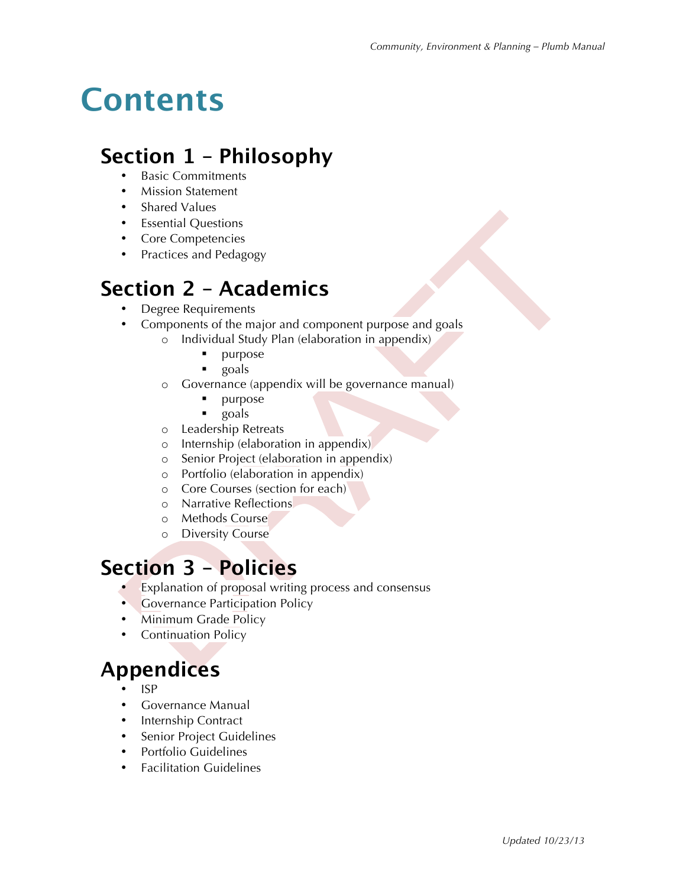# **Contents**

### **Section 1 – Philosophy**

- Basic Commitments
- Mission Statement
- Shared Values
- Essential Questions
- Core Competencies
- Practices and Pedagogy

### **Section 2 – Academics**

- Degree Requirements
- Components of the major and component purpose and goals
	- o Individual Study Plan (elaboration in appendix)
		- **•** purpose
		- ! goals
	- o Governance (appendix will be governance manual)
		- **•** purpose
		- ! goals
	- o Leadership Retreats
	- o Internship (elaboration in appendix)
	- o Senior Project (elaboration in appendix)
	- o Portfolio (elaboration in appendix)
	- o Core Courses (section for each)
	- o Narrative Reflections
	- o Methods Course
	- o Diversity Course

### **Section 3 – Policies**

- Explanation of proposal writing process and consensus
- **Governance Participation Policy**
- Minimum Grade Policy
- Continuation Policy

### **Appendices**

- ISP
- Governance Manual
- Internship Contract
- Senior Project Guidelines
- Portfolio Guidelines
- Facilitation Guidelines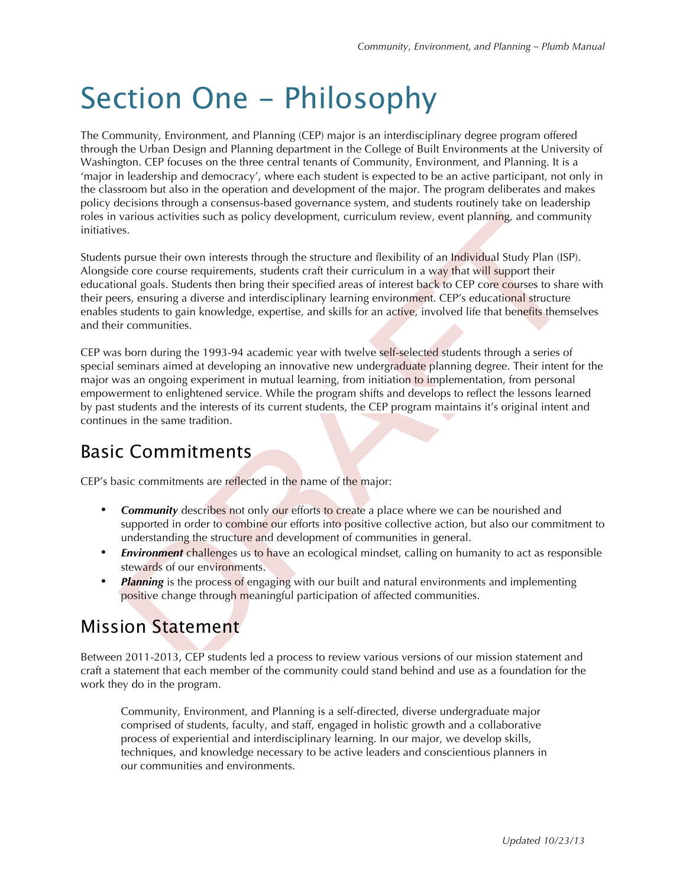# Section One - Philosophy

The Community, Environment, and Planning (CEP) major is an interdisciplinary degree program offered through the Urban Design and Planning department in the College of Built Environments at the University of Washington. CEP focuses on the three central tenants of Community, Environment, and Planning. It is a 'major in leadership and democracy', where each student is expected to be an active participant, not only in the classroom but also in the operation and development of the major. The program deliberates and makes policy decisions through a consensus-based governance system, and students routinely take on leadership roles in various activities such as policy development, curriculum review, event planning, and community initiatives.

Students pursue their own interests through the structure and flexibility of an Individual Study Plan (ISP). Alongside core course requirements, students craft their curriculum in a way that will support their educational goals. Students then bring their specified areas of interest back to CEP core courses to share with their peers, ensuring a diverse and interdisciplinary learning environment. CEP's educational structure enables students to gain knowledge, expertise, and skills for an active, involved life that benefits themselves and their communities.

CEP was born during the 1993-94 academic year with twelve self-selected students through a series of special seminars aimed at developing an innovative new undergraduate planning degree. Their intent for the major was an ongoing experiment in mutual learning, from initiation to implementation, from personal empowerment to enlightened service. While the program shifts and develops to reflect the lessons learned by past students and the interests of its current students, the CEP program maintains it's original intent and continues in the same tradition.

### Basic Commitments

CEP's basic commitments are reflected in the name of the major:

- **Community** describes not only our efforts to create a place where we can be nourished and supported in order to combine our efforts into positive collective action, but also our commitment to understanding the structure and development of communities in general.
- *Environment* challenges us to have an ecological mindset, calling on humanity to act as responsible stewards of our environments.
- **Planning** is the process of engaging with our built and natural environments and implementing positive change through meaningful participation of affected communities.

### Mission Statement

Between 2011-2013, CEP students led a process to review various versions of our mission statement and craft a statement that each member of the community could stand behind and use as a foundation for the work they do in the program.

Community, Environment, and Planning is a self-directed, diverse undergraduate major comprised of students, faculty, and staff, engaged in holistic growth and a collaborative process of experiential and interdisciplinary learning. In our major, we develop skills, techniques, and knowledge necessary to be active leaders and conscientious planners in our communities and environments.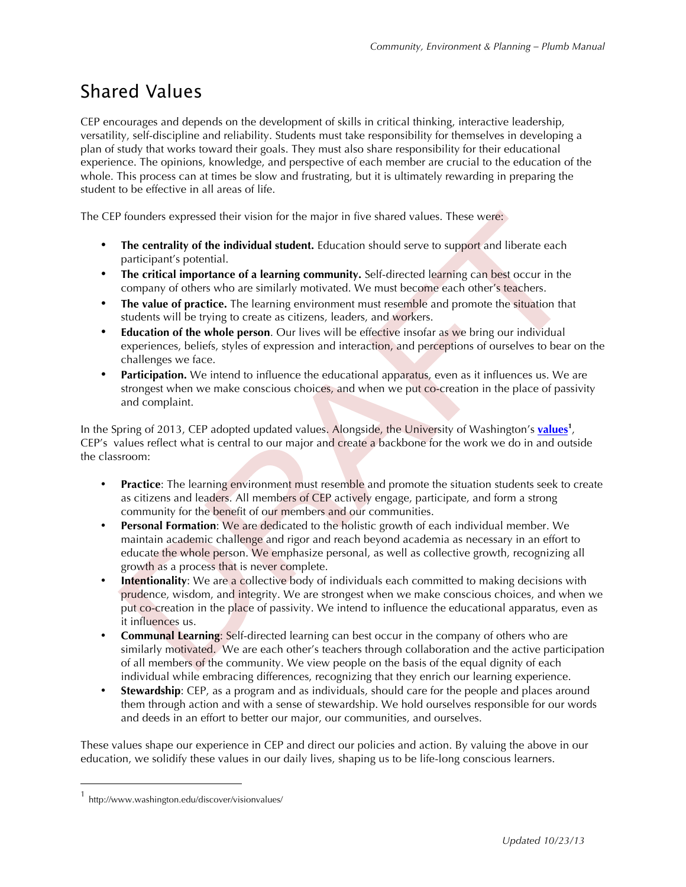### Shared Values

CEP encourages and depends on the development of skills in critical thinking, interactive leadership, versatility, self-discipline and reliability. Students must take responsibility for themselves in developing a plan of study that works toward their goals. They must also share responsibility for their educational experience. The opinions, knowledge, and perspective of each member are crucial to the education of the whole. This process can at times be slow and frustrating, but it is ultimately rewarding in preparing the student to be effective in all areas of life.

The CEP founders expressed their vision for the major in five shared values. These were:

- The centrality of the individual student. Education should serve to support and liberate each participant's potential.
- **The critical importance of a learning community.** Self-directed learning can best occur in the company of others who are similarly motivated. We must become each other's teachers.
- **The value of practice.** The learning environment must resemble and promote the situation that students will be trying to create as citizens, leaders, and workers.
- **Education of the whole person**. Our lives will be effective insofar as we bring our individual experiences, beliefs, styles of expression and interaction, and perceptions of ourselves to bear on the challenges we face.
- **Participation.** We intend to influence the educational apparatus, even as it influences us. We are strongest when we make conscious choices, and when we put co-creation in the place of passivity and complaint.

In the Spring of 2013, CEP adopted updated values. Alongside, the University of Washington's **values<sup>1</sup>** , CEP's values reflect what is central to our major and create a backbone for the work we do in and outside the classroom:

- **Practice**: The learning environment must resemble and promote the situation students seek to create as citizens and leaders. All members of CEP actively engage, participate, and form a strong community for the benefit of our members and our communities.
- **Personal Formation**: We are dedicated to the holistic growth of each individual member. We maintain academic challenge and rigor and reach beyond academia as necessary in an effort to educate the whole person. We emphasize personal, as well as collective growth, recognizing all growth as a process that is never complete.
- **Intentionality:** We are a collective body of individuals each committed to making decisions with prudence, wisdom, and integrity. We are strongest when we make conscious choices, and when we put co-creation in the place of passivity. We intend to influence the educational apparatus, even as it influences us.
- **Communal Learning**: Self-directed learning can best occur in the company of others who are similarly motivated. We are each other's teachers through collaboration and the active participation of all members of the community. We view people on the basis of the equal dignity of each individual while embracing differences, recognizing that they enrich our learning experience.
- **Stewardship:** CEP, as a program and as individuals, should care for the people and places around them through action and with a sense of stewardship. We hold ourselves responsible for our words and deeds in an effort to better our major, our communities, and ourselves.

These values shape our experience in CEP and direct our policies and action. By valuing the above in our education, we solidify these values in our daily lives, shaping us to be life-long conscious learners.

 <sup>1</sup> http://www.washington.edu/discover/visionvalues/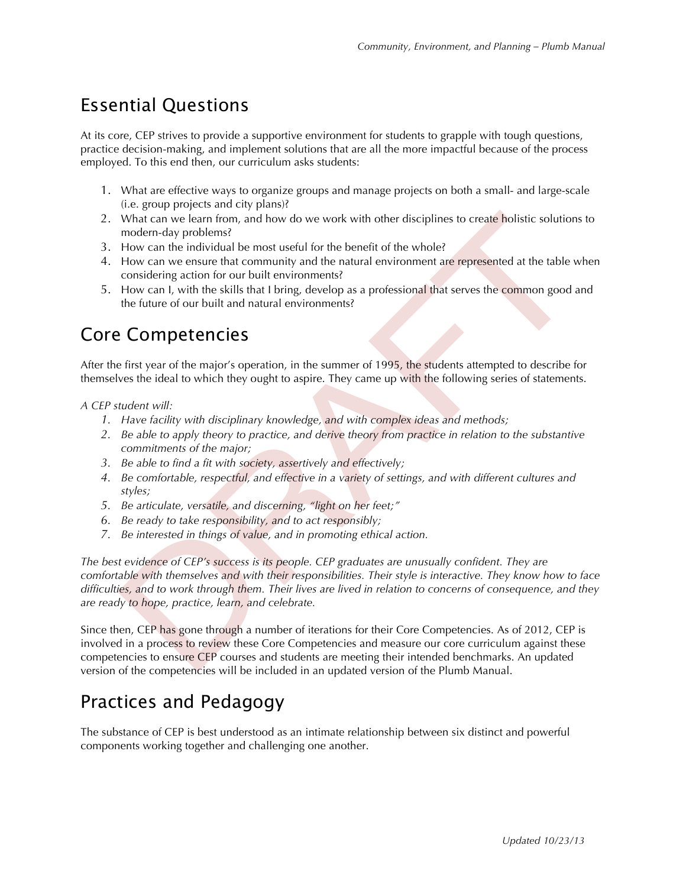### Essential Questions

At its core, CEP strives to provide a supportive environment for students to grapple with tough questions, practice decision-making, and implement solutions that are all the more impactful because of the process employed. To this end then, our curriculum asks students:

- 1. What are effective ways to organize groups and manage projects on both a small- and large-scale (i.e. group projects and city plans)?
- 2. What can we learn from, and how do we work with other disciplines to create holistic solutions to modern-day problems?
- 3. How can the individual be most useful for the benefit of the whole?
- 4. How can we ensure that community and the natural environment are represented at the table when considering action for our built environments?
- 5. How can I, with the skills that I bring, develop as a professional that serves the common good and the future of our built and natural environments?

### Core Competencies

After the first year of the major's operation, in the summer of 1995, the students attempted to describe for themselves the ideal to which they ought to aspire. They came up with the following series of statements.

#### *A CEP student will:*

- *1. Have facility with disciplinary knowledge, and with complex ideas and methods;*
- *2. Be able to apply theory to practice, and derive theory from practice in relation to the substantive commitments of the major;*
- *3. Be able to find a fit with society, assertively and effectively;*
- *4. Be comfortable, respectful, and effective in a variety of settings, and with different cultures and styles;*
- *5. Be articulate, versatile, and discerning, "light on her feet;"*
- *6. Be ready to take responsibility, and to act responsibly;*
- *7. Be interested in things of value, and in promoting ethical action.*

*The best evidence of CEP's success is its people. CEP graduates are unusually confident. They are comfortable with themselves and with their responsibilities. Their style is interactive. They know how to face difficulties, and to work through them. Their lives are lived in relation to concerns of consequence, and they are ready to hope, practice, learn, and celebrate.*

Since then, CEP has gone through a number of iterations for their Core Competencies. As of 2012, CEP is involved in a process to review these Core Competencies and measure our core curriculum against these competencies to ensure CEP courses and students are meeting their intended benchmarks. An updated version of the competencies will be included in an updated version of the Plumb Manual.

### Practices and Pedagogy

The substance of CEP is best understood as an intimate relationship between six distinct and powerful components working together and challenging one another.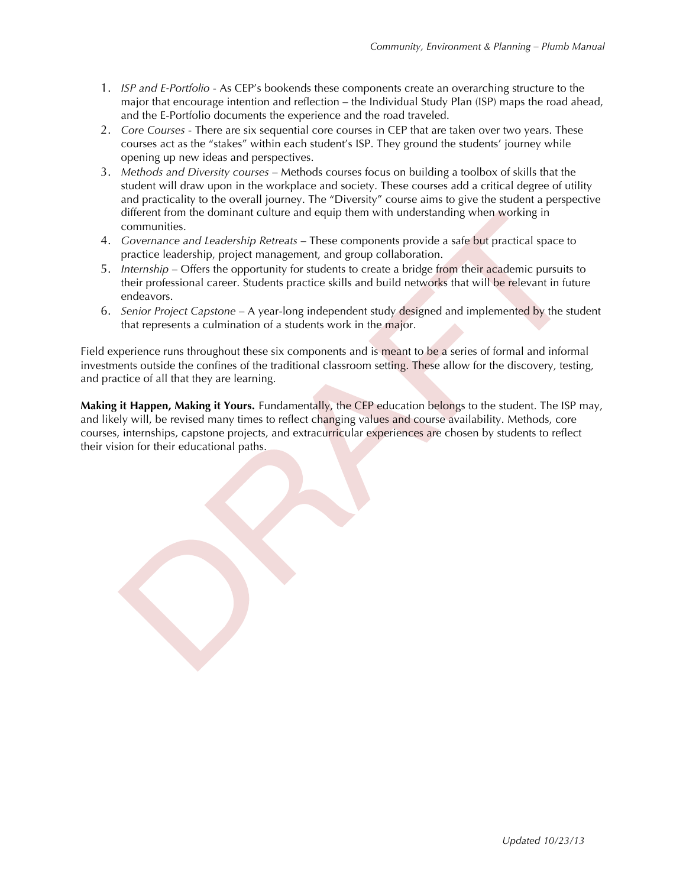- 1. *ISP and E-Portfolio* As CEP's bookends these components create an overarching structure to the major that encourage intention and reflection – the Individual Study Plan (ISP) maps the road ahead, and the E-Portfolio documents the experience and the road traveled.
- 2. *Core Courses* There are six sequential core courses in CEP that are taken over two years. These courses act as the "stakes" within each student's ISP. They ground the students' journey while opening up new ideas and perspectives.
- 3. *Methods and Diversity courses* Methods courses focus on building a toolbox of skills that the student will draw upon in the workplace and society. These courses add a critical degree of utility and practicality to the overall journey. The "Diversity" course aims to give the student a perspective different from the dominant culture and equip them with understanding when working in communities.
- 4. *Governance and Leadership Retreats* These components provide a safe but practical space to practice leadership, project management, and group collaboration.
- 5. *Internship* Offers the opportunity for students to create a bridge from their academic pursuits to their professional career. Students practice skills and build networks that will be relevant in future endeavors.
- 6. *Senior Project Capstone* A year-long independent study designed and implemented by the student that represents a culmination of a students work in the major.

Field experience runs throughout these six components and is meant to be a series of formal and informal investments outside the confines of the traditional classroom setting. These allow for the discovery, testing, and practice of all that they are learning.

**Making it Happen, Making it Yours.** Fundamentally, the CEP education belongs to the student. The ISP may, and likely will, be revised many times to reflect changing values and course availability. Methods, core courses, internships, capstone projects, and extracurricular experiences are chosen by students to reflect their vision for their educational paths.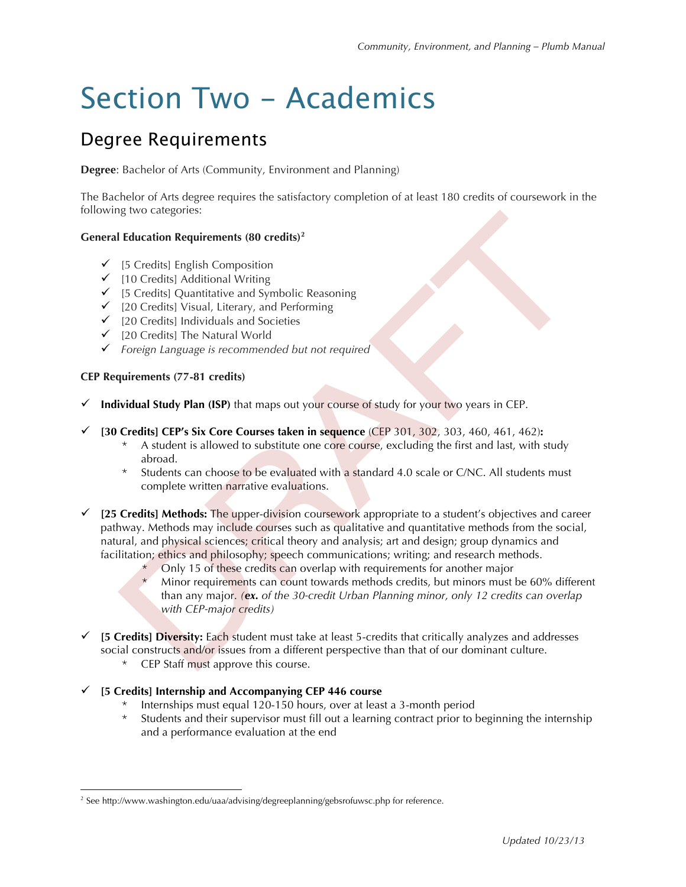# Section Two - Academics

### Degree Requirements

**Degree**: Bachelor of Arts (Community, Environment and Planning)

The Bachelor of Arts degree requires the satisfactory completion of at least 180 credits of coursework in the following two categories:

#### **General Education Requirements (80 credits)<sup>2</sup>**

- $\checkmark$  [5 Credits] English Composition
- $\checkmark$  [10 Credits] Additional Writing
- $\checkmark$  [5 Credits] Quantitative and Symbolic Reasoning
- $\checkmark$  [20 Credits] Visual, Literary, and Performing
- $\checkmark$  [20 Credits] Individuals and Societies
- $\checkmark$  [20 Credits] The Natural World
- " *Foreign Language is recommended but not required*

#### **CEP Requirements (77-81 credits)**

- " **Individual Study Plan (ISP)** that maps out your course of study for your two years in CEP.
- " **[30 Credits] CEP's Six Core Courses taken in sequence** (CEP 301, 302, 303, 460, 461, 462)**:**
	- \* A student is allowed to substitute one core course, excluding the first and last, with study abroad.
	- \* Students can choose to be evaluated with a standard 4.0 scale or C/NC. All students must complete written narrative evaluations.
- $\checkmark$  [25 Credits] Methods: The upper-division coursework appropriate to a student's objectives and career pathway. Methods may include courses such as qualitative and quantitative methods from the social, natural, and physical sciences; critical theory and analysis; art and design; group dynamics and facilitation; ethics and philosophy; speech communications; writing; and research methods.
	- Only 15 of these credits can overlap with requirements for another major
	- Minor requirements can count towards methods credits, but minors must be 60% different than any major. *(ex. of the 30-credit Urban Planning minor, only 12 credits can overlap with CEP-major credits)*
- " **[5 Credits] Diversity:** Each student must take at least 5-credits that critically analyzes and addresses social constructs and/or issues from a different perspective than that of our dominant culture.
	- \* CEP Staff must approve this course.

#### " **[5 Credits] Internship and Accompanying CEP 446 course**

- Internships must equal 120-150 hours, over at least a 3-month period
- Students and their supervisor must fill out a learning contract prior to beginning the internship and a performance evaluation at the end

<sup>&</sup>lt;sup>2</sup> See http://www.washington.edu/uaa/advising/degreeplanning/gebsrofuwsc.php for reference.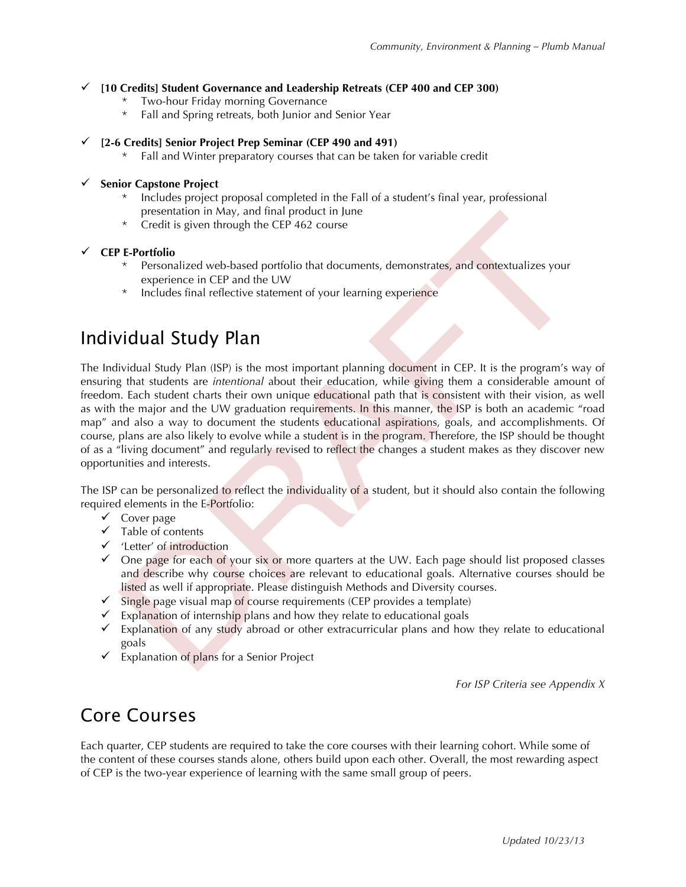#### " **[10 Credits] Student Governance and Leadership Retreats (CEP 400 and CEP 300)**

- Two-hour Friday morning Governance
- Fall and Spring retreats, both Junior and Senior Year

#### " **[2-6 Credits] Senior Project Prep Seminar (CEP 490 and 491)**

\* Fall and Winter preparatory courses that can be taken for variable credit

#### **Senior Capstone Project**

- Includes project proposal completed in the Fall of a student's final year, professional presentation in May, and final product in June
- \* Credit is given through the CEP 462 course

#### " **CEP E-Portfolio**

- \* Personalized web-based portfolio that documents, demonstrates, and contextualizes your experience in CEP and the UW
- \* Includes final reflective statement of your learning experience

### Individual Study Plan

The Individual Study Plan (ISP) is the most important planning document in CEP. It is the program's way of ensuring that students are *intentional* about their education, while giving them a considerable amount of freedom. Each student charts their own unique educational path that is consistent with their vision, as well as with the major and the UW graduation requirements. In this manner, the ISP is both an academic "road map" and also a way to document the students educational aspirations, goals, and accomplishments. Of course, plans are also likely to evolve while a student is in the program. Therefore, the ISP should be thought of as a "living document" and regularly revised to reflect the changes a student makes as they discover new opportunities and interests.

The ISP can be personalized to reflect the individuality of a student, but it should also contain the following required elements in the E-Portfolio:

- $\checkmark$  Cover page
- $\checkmark$  Table of contents
- $\checkmark$  'Letter' of introduction
- $\checkmark$  One page for each of your six or more quarters at the UW. Each page should list proposed classes and describe why course choices are relevant to educational goals. Alternative courses should be listed as well if appropriate. Please distinguish Methods and Diversity courses.
- $\checkmark$  Single page visual map of course requirements (CEP provides a template)
- $\checkmark$  Explanation of internship plans and how they relate to educational goals
- $\checkmark$  Explanation of any study abroad or other extracurricular plans and how they relate to educational goals
- $\checkmark$  Explanation of plans for a Senior Project

*For ISP Criteria see Appendix X*

### Core Courses

Each quarter, CEP students are required to take the core courses with their learning cohort. While some of the content of these courses stands alone, others build upon each other. Overall, the most rewarding aspect of CEP is the two-year experience of learning with the same small group of peers.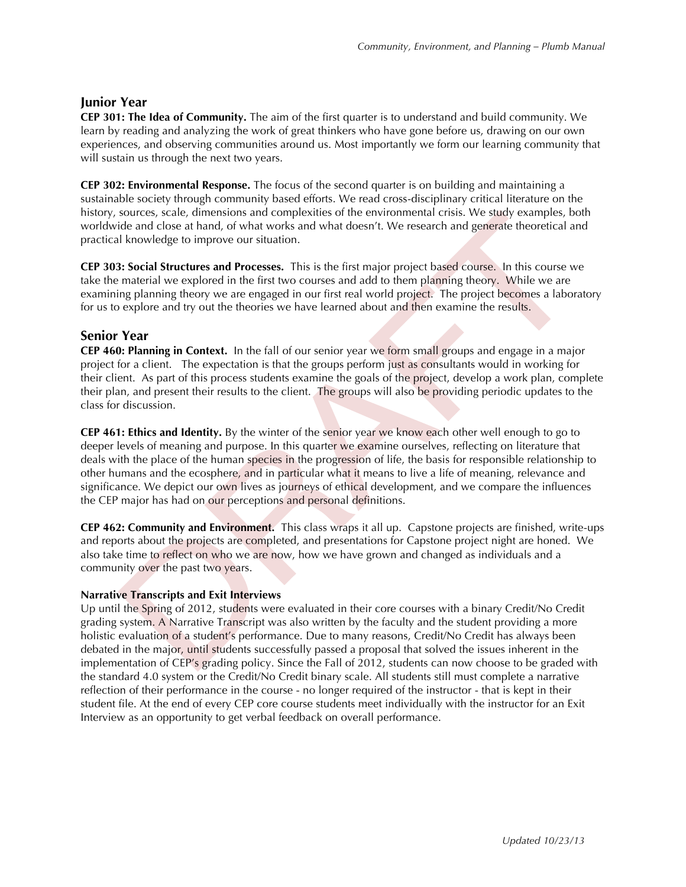#### **Junior Year**

**CEP 301: The Idea of Community.** The aim of the first quarter is to understand and build community. We learn by reading and analyzing the work of great thinkers who have gone before us, drawing on our own experiences, and observing communities around us. Most importantly we form our learning community that will sustain us through the next two years.

**CEP 302: Environmental Response.** The focus of the second quarter is on building and maintaining a sustainable society through community based efforts. We read cross-disciplinary critical literature on the history, sources, scale, dimensions and complexities of the environmental crisis. We study examples, both worldwide and close at hand, of what works and what doesn't. We research and generate theoretical and practical knowledge to improve our situation.

**CEP 303: Social Structures and Processes.** This is the first major project based course. In this course we take the material we explored in the first two courses and add to them planning theory. While we are examining planning theory we are engaged in our first real world project. The project becomes a laboratory for us to explore and try out the theories we have learned about and then examine the results.

#### **Senior Year**

**CEP 460: Planning in Context.** In the fall of our senior year we form small groups and engage in a major project for a client. The expectation is that the groups perform just as consultants would in working for their client. As part of this process students examine the goals of the project, develop a work plan, complete their plan, and present their results to the client. The groups will also be providing periodic updates to the class for discussion.

**CEP 461: Ethics and Identity.** By the winter of the senior year we know each other well enough to go to deeper levels of meaning and purpose. In this quarter we examine ourselves, reflecting on literature that deals with the place of the human species in the progression of life, the basis for responsible relationship to other humans and the ecosphere, and in particular what it means to live a life of meaning, relevance and significance. We depict our own lives as journeys of ethical development, and we compare the influences the CEP major has had on our perceptions and personal definitions.

**CEP 462: Community and Environment.** This class wraps it all up. Capstone projects are finished, write-ups and reports about the projects are completed, and presentations for Capstone project night are honed. We also take time to reflect on who we are now, how we have grown and changed as individuals and a community over the past two years.

#### **Narrative Transcripts and Exit Interviews**

Up until the Spring of 2012, students were evaluated in their core courses with a binary Credit/No Credit grading system. A Narrative Transcript was also written by the faculty and the student providing a more holistic evaluation of a student's performance. Due to many reasons, Credit/No Credit has always been debated in the major, until students successfully passed a proposal that solved the issues inherent in the implementation of CEP's grading policy. Since the Fall of 2012, students can now choose to be graded with the standard 4.0 system or the Credit/No Credit binary scale. All students still must complete a narrative reflection of their performance in the course - no longer required of the instructor - that is kept in their student file. At the end of every CEP core course students meet individually with the instructor for an Exit Interview as an opportunity to get verbal feedback on overall performance.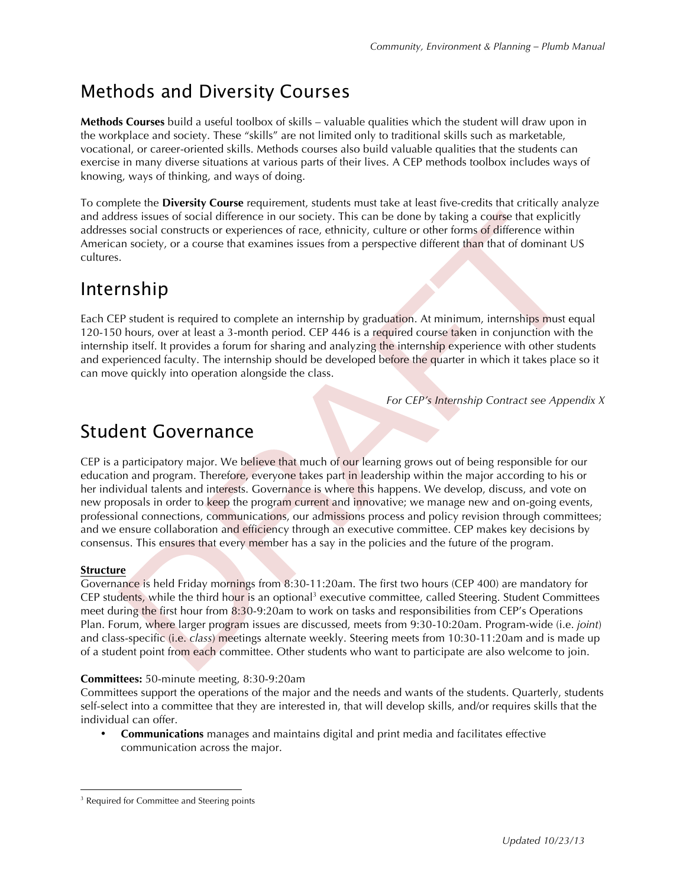### Methods and Diversity Courses

**Methods Courses** build a useful toolbox of skills – valuable qualities which the student will draw upon in the workplace and society. These "skills" are not limited only to traditional skills such as marketable, vocational, or career-oriented skills. Methods courses also build valuable qualities that the students can exercise in many diverse situations at various parts of their lives. A CEP methods toolbox includes ways of knowing, ways of thinking, and ways of doing.

To complete the **Diversity Course** requirement, students must take at least five-credits that critically analyze and address issues of social difference in our society. This can be done by taking a course that explicitly addresses social constructs or experiences of race, ethnicity, culture or other forms of difference within American society, or a course that examines issues from a perspective different than that of dominant US cultures.

### Internship

Each CEP student is required to complete an internship by graduation. At minimum, internships must equal 120-150 hours, over at least a 3-month period. CEP 446 is a required course taken in conjunction with the internship itself. It provides a forum for sharing and analyzing the internship experience with other students and experienced faculty. The internship should be developed before the quarter in which it takes place so it can move quickly into operation alongside the class.

*For CEP's Internship Contract see Appendix X*

### Student Governance

CEP is a participatory major. We believe that much of our learning grows out of being responsible for our education and program. Therefore, everyone takes part in leadership within the major according to his or her individual talents and interests. Governance is where this happens. We develop, discuss, and vote on new proposals in order to keep the program current and innovative; we manage new and on-going events, professional connections, communications, our admissions process and policy revision through committees; and we ensure collaboration and efficiency through an executive committee. CEP makes key decisions by consensus. This ensures that every member has a say in the policies and the future of the program.

#### **Structure**

Governance is held Friday mornings from 8:30-11:20am. The first two hours (CEP 400) are mandatory for CEP students, while the third hour is an optional<sup>3</sup> executive committee, called Steering. Student Committees meet during the first hour from 8:30-9:20am to work on tasks and responsibilities from CEP's Operations Plan. Forum, where larger program issues are discussed, meets from 9:30-10:20am. Program-wide (i.e. *joint*) and class-specific (i.e. *class*) meetings alternate weekly. Steering meets from 10:30-11:20am and is made up of a student point from each committee. Other students who want to participate are also welcome to join.

#### **Committees:** 50-minute meeting, 8:30-9:20am

Committees support the operations of the major and the needs and wants of the students. Quarterly, students self-select into a committee that they are interested in, that will develop skills, and/or requires skills that the individual can offer.

• **Communications** manages and maintains digital and print media and facilitates effective communication across the major.

<sup>&</sup>lt;sup>3</sup> Required for Committee and Steering points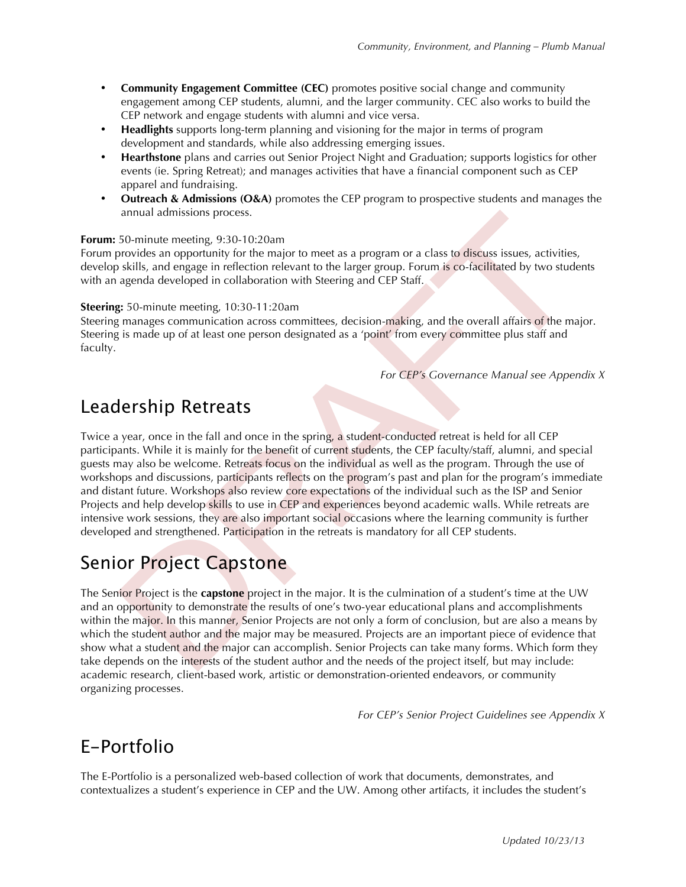- **Community Engagement Committee (CEC)** promotes positive social change and community engagement among CEP students, alumni, and the larger community. CEC also works to build the CEP network and engage students with alumni and vice versa.
- **Headlights** supports long-term planning and visioning for the major in terms of program development and standards, while also addressing emerging issues.
- **Hearthstone** plans and carries out Senior Project Night and Graduation; supports logistics for other events (ie. Spring Retreat); and manages activities that have a financial component such as CEP apparel and fundraising.
- **Outreach & Admissions (O&A)** promotes the CEP program to prospective students and manages the annual admissions process.

#### **Forum:** 50-minute meeting, 9:30-10:20am

Forum provides an opportunity for the major to meet as a program or a class to discuss issues, activities, develop skills, and engage in reflection relevant to the larger group. Forum is co-facilitated by two students with an agenda developed in collaboration with Steering and CEP Staff.

#### **Steering:** 50-minute meeting, 10:30-11:20am

Steering manages communication across committees, decision-making, and the overall affairs of the major. Steering is made up of at least one person designated as a 'point' from every committee plus staff and faculty.

*For CEP's Governance Manual see Appendix X*

### Leadership Retreats

Twice a year, once in the fall and once in the spring, a student-conducted retreat is held for all CEP participants. While it is mainly for the benefit of current students, the CEP faculty/staff, alumni, and special guests may also be welcome. Retreats focus on the individual as well as the program. Through the use of workshops and discussions, participants reflects on the program's past and plan for the program's immediate and distant future. Workshops also review core expectations of the individual such as the ISP and Senior Projects and help develop skills to use in CEP and experiences beyond academic walls. While retreats are intensive work sessions, they are also important social occasions where the learning community is further developed and strengthened. Participation in the retreats is mandatory for all CEP students.

### Senior Project Capstone

The Senior Project is the **capstone** project in the major. It is the culmination of a student's time at the UW and an opportunity to demonstrate the results of one's two-year educational plans and accomplishments within the major. In this manner, Senior Projects are not only a form of conclusion, but are also a means by which the student author and the major may be measured. Projects are an important piece of evidence that show what a student and the major can accomplish. Senior Projects can take many forms. Which form they take depends on the interests of the student author and the needs of the project itself, but may include: academic research, client-based work, artistic or demonstration-oriented endeavors, or community organizing processes.

*For CEP's Senior Project Guidelines see Appendix X*

### E-Portfolio

The E-Portfolio is a personalized web-based collection of work that documents, demonstrates, and contextualizes a student's experience in CEP and the UW. Among other artifacts, it includes the student's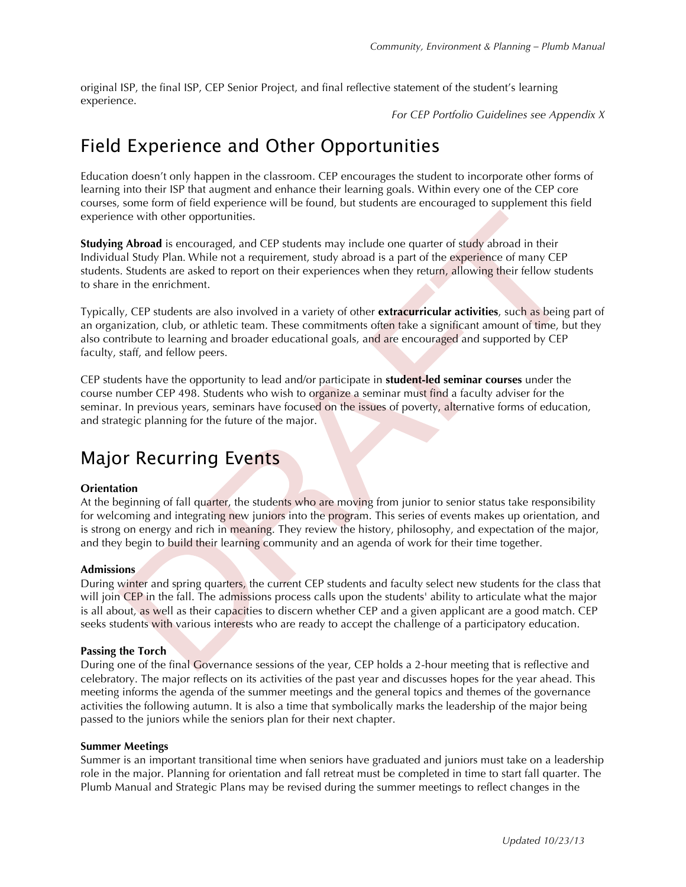original ISP, the final ISP, CEP Senior Project, and final reflective statement of the student's learning experience.

*For CEP Portfolio Guidelines see Appendix X*

### Field Experience and Other Opportunities

Education doesn't only happen in the classroom. CEP encourages the student to incorporate other forms of learning into their ISP that augment and enhance their learning goals. Within every one of the CEP core courses, some form of field experience will be found, but students are encouraged to supplement this field experience with other opportunities.

**Studying Abroad** is encouraged, and CEP students may include one quarter of study abroad in their Individual Study Plan. While not a requirement, study abroad is a part of the experience of many CEP students. Students are asked to report on their experiences when they return, allowing their fellow students to share in the enrichment.

Typically, CEP students are also involved in a variety of other **extracurricular activities**, such as being part of an organization, club, or athletic team. These commitments often take a significant amount of time, but they also contribute to learning and broader educational goals, and are encouraged and supported by CEP faculty, staff, and fellow peers.

CEP students have the opportunity to lead and/or participate in **student-led seminar courses** under the course number CEP 498. Students who wish to organize a seminar must find a faculty adviser for the seminar. In previous years, seminars have focused on the issues of poverty, alternative forms of education, and strategic planning for the future of the major.

### Major Recurring Events

#### **Orientation**

At the beginning of fall quarter, the students who are moving from junior to senior status take responsibility for welcoming and integrating new juniors into the program. This series of events makes up orientation, and is strong on energy and rich in meaning. They review the history, philosophy, and expectation of the major, and they begin to build their learning community and an agenda of work for their time together.

#### **Admissions**

During winter and spring quarters, the current CEP students and faculty select new students for the class that will join CEP in the fall. The admissions process calls upon the students' ability to articulate what the major is all about, as well as their capacities to discern whether CEP and a given applicant are a good match. CEP seeks students with various interests who are ready to accept the challenge of a participatory education.

#### **Passing the Torch**

During one of the final Governance sessions of the year, CEP holds a 2-hour meeting that is reflective and celebratory. The major reflects on its activities of the past year and discusses hopes for the year ahead. This meeting informs the agenda of the summer meetings and the general topics and themes of the governance activities the following autumn. It is also a time that symbolically marks the leadership of the major being passed to the juniors while the seniors plan for their next chapter.

#### **Summer Meetings**

Summer is an important transitional time when seniors have graduated and juniors must take on a leadership role in the major. Planning for orientation and fall retreat must be completed in time to start fall quarter. The Plumb Manual and Strategic Plans may be revised during the summer meetings to reflect changes in the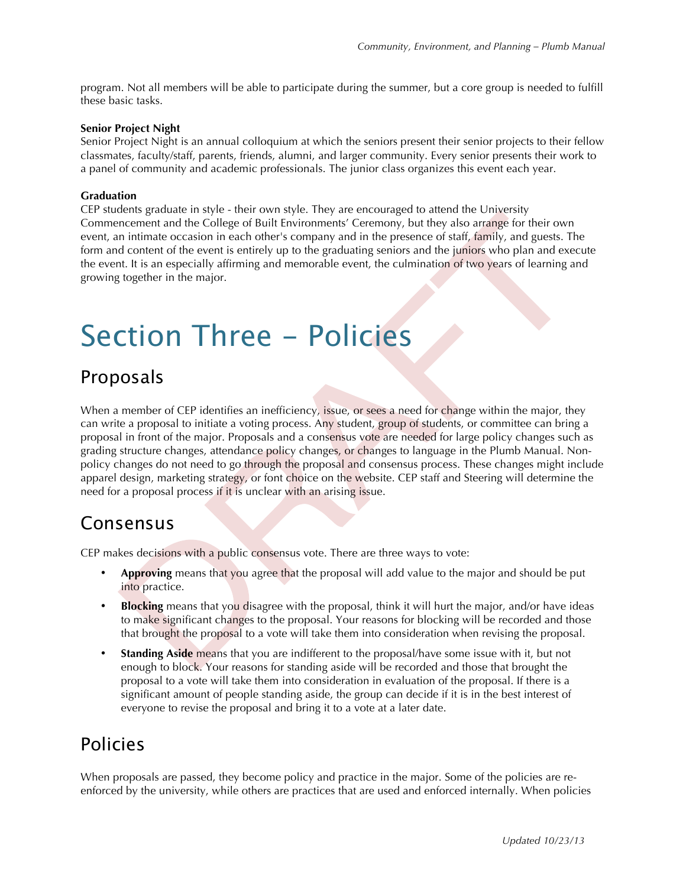program. Not all members will be able to participate during the summer, but a core group is needed to fulfill these basic tasks.

#### **Senior Project Night**

Senior Project Night is an annual colloquium at which the seniors present their senior projects to their fellow classmates, faculty/staff, parents, friends, alumni, and larger community. Every senior presents their work to a panel of community and academic professionals. The junior class organizes this event each year.

#### **Graduation**

CEP students graduate in style - their own style. They are encouraged to attend the University Commencement and the College of Built Environments' Ceremony, but they also arrange for their own event, an intimate occasion in each other's company and in the presence of staff, family, and guests. The form and content of the event is entirely up to the graduating seniors and the juniors who plan and execute the event. It is an especially affirming and memorable event, the culmination of two years of learning and growing together in the major.

## Section Three - Policies

#### Proposals

When a member of CEP identifies an inefficiency, issue, or sees a need for change within the major, they can write a proposal to initiate a voting process. Any student, group of students, or committee can bring a proposal in front of the major. Proposals and a consensus vote are needed for large policy changes such as grading structure changes, attendance policy changes, or changes to language in the Plumb Manual. Nonpolicy changes do not need to go through the proposal and consensus process. These changes might include apparel design, marketing strategy, or font choice on the website. CEP staff and Steering will determine the need for a proposal process if it is unclear with an arising issue.

#### Consensus

CEP makes decisions with a public consensus vote. There are three ways to vote:

- **Approving** means that you agree that the proposal will add value to the major and should be put into practice.
- **Blocking** means that you disagree with the proposal, think it will hurt the major, and/or have ideas to make significant changes to the proposal. Your reasons for blocking will be recorded and those that brought the proposal to a vote will take them into consideration when revising the proposal.
- **Standing Aside** means that you are indifferent to the proposal/have some issue with it, but not enough to block. Your reasons for standing aside will be recorded and those that brought the proposal to a vote will take them into consideration in evaluation of the proposal. If there is a significant amount of people standing aside, the group can decide if it is in the best interest of everyone to revise the proposal and bring it to a vote at a later date.

### Policies

When proposals are passed, they become policy and practice in the major. Some of the policies are reenforced by the university, while others are practices that are used and enforced internally. When policies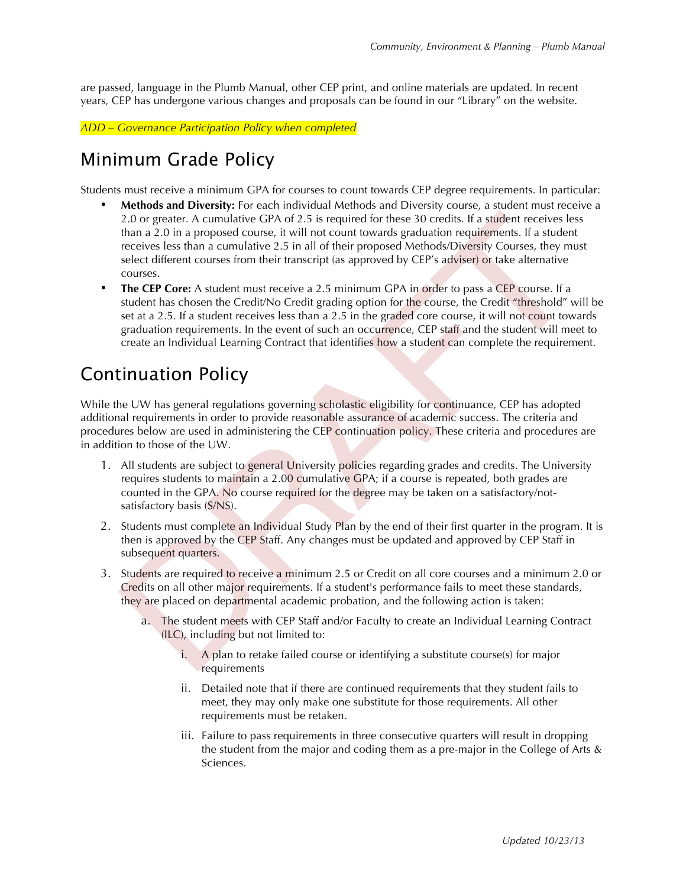are passed, language in the Plumb Manual, other CEP print, and online materials are updated. In recent years, CEP has undergone various changes and proposals can be found in our "Library" on the website.

*ADD – Governance Participation Policy when completed*

### Minimum Grade Policy

Students must receive a minimum GPA for courses to count towards CEP degree requirements. In particular:

- **Methods and Diversity:** For each individual Methods and Diversity course, a student must receive a 2.0 or greater. A cumulative GPA of 2.5 is required for these 30 credits. If a student receives less than a 2.0 in a proposed course, it will not count towards graduation requirements. If a student receives less than a cumulative 2.5 in all of their proposed Methods/Diversity Courses, they must select different courses from their transcript (as approved by CEP's adviser) or take alternative courses.
- **The CEP Core:** A student must receive a 2.5 minimum GPA in order to pass a CEP course. If a student has chosen the Credit/No Credit grading option for the course, the Credit "threshold" will be set at a 2.5. If a student receives less than a 2.5 in the graded core course, it will not count towards graduation requirements. In the event of such an occurrence, CEP staff and the student will meet to create an Individual Learning Contract that identifies how a student can complete the requirement.

### Continuation Policy

While the UW has general regulations governing scholastic eligibility for continuance, CEP has adopted additional requirements in order to provide reasonable assurance of academic success. The criteria and procedures below are used in administering the CEP continuation policy. These criteria and procedures are in addition to those of the UW.

- 1. All students are subject to general University policies regarding grades and credits. The University requires students to maintain a 2.00 cumulative GPA; if a course is repeated, both grades are counted in the GPA. No course required for the degree may be taken on a satisfactory/notsatisfactory basis (S/NS).
- 2. Students must complete an Individual Study Plan by the end of their first quarter in the program. It is then is approved by the CEP Staff. Any changes must be updated and approved by CEP Staff in subsequent quarters.
- 3. Students are required to receive a minimum 2.5 or Credit on all core courses and a minimum 2.0 or Credits on all other major requirements. If a student's performance fails to meet these standards, they are placed on departmental academic probation, and the following action is taken:
	- a. The student meets with CEP Staff and/or Faculty to create an Individual Learning Contract (ILC), including but not limited to:
		- i. A plan to retake failed course or identifying a substitute course(s) for major requirements
		- ii. Detailed note that if there are continued requirements that they student fails to meet, they may only make one substitute for those requirements. All other requirements must be retaken.
		- iii. Failure to pass requirements in three consecutive quarters will result in dropping the student from the major and coding them as a pre-major in the College of Arts & Sciences.